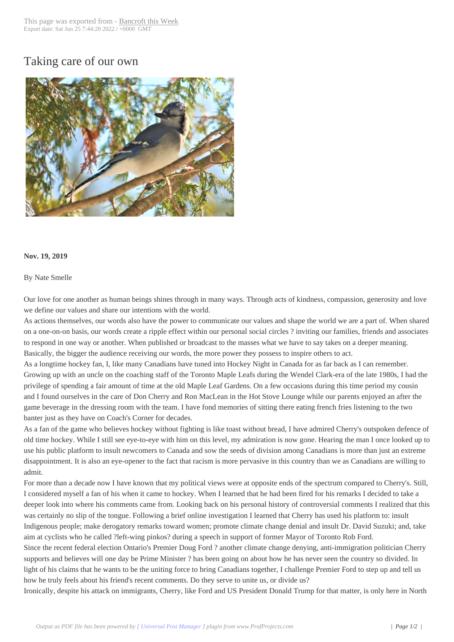## Taking care of our [own](http://www.bancroftthisweek.com/?p=10135)



## **Nov. 19, 2019**

## By Nate Smelle

Our love for one another as human beings shines through in many ways. Through acts of kindness, compassion, generosity and love we define our values and share our intentions with the world.

As actions themselves, our words also have the power to communicate our values and shape the world we are a part of. When shared on a one-on-on basis, our words create a ripple effect within our personal social circles ? inviting our families, friends and associates to respond in one way or another. When published or broadcast to the masses what we have to say takes on a deeper meaning. Basically, the bigger the audience receiving our words, the more power they possess to inspire others to act.

As a longtime hockey fan, I, like many Canadians have tuned into Hockey Night in Canada for as far back as I can remember. Growing up with an uncle on the coaching staff of the Toronto Maple Leafs during the Wendel Clark-era of the late 1980s, I had the privilege of spending a fair amount of time at the old Maple Leaf Gardens. On a few occasions during this time period my cousin and I found ourselves in the care of Don Cherry and Ron MacLean in the Hot Stove Lounge while our parents enjoyed an after the game beverage in the dressing room with the team. I have fond memories of sitting there eating french fries listening to the two banter just as they have on Coach's Corner for decades.

As a fan of the game who believes hockey without fighting is like toast without bread, I have admired Cherry's outspoken defence of old time hockey. While I still see eye-to-eye with him on this level, my admiration is now gone. Hearing the man I once looked up to use his public platform to insult newcomers to Canada and sow the seeds of division among Canadians is more than just an extreme disappointment. It is also an eye-opener to the fact that racism is more pervasive in this country than we as Canadians are willing to admit.

For more than a decade now I have known that my political views were at opposite ends of the spectrum compared to Cherry's. Still, I considered myself a fan of his when it came to hockey. When I learned that he had been fired for his remarks I decided to take a deeper look into where his comments came from. Looking back on his personal history of controversial comments I realized that this was certainly no slip of the tongue. Following a brief online investigation I learned that Cherry has used his platform to: insult Indigenous people; make derogatory remarks toward women; promote climate change denial and insult Dr. David Suzuki; and, take aim at cyclists who he called ?left-wing pinkos? during a speech in support of former Mayor of Toronto Rob Ford.

Since the recent federal election Ontario's Premier Doug Ford ? another climate change denying, anti-immigration politician Cherry supports and believes will one day be Prime Minister ? has been going on about how he has never seen the country so divided. In light of his claims that he wants to be the uniting force to bring Canadians together, I challenge Premier Ford to step up and tell us how he truly feels about his friend's recent comments. Do they serve to unite us, or divide us?

Ironically, despite his attack on immigrants, Cherry, like Ford and US President Donald Trump for that matter, is only here in North